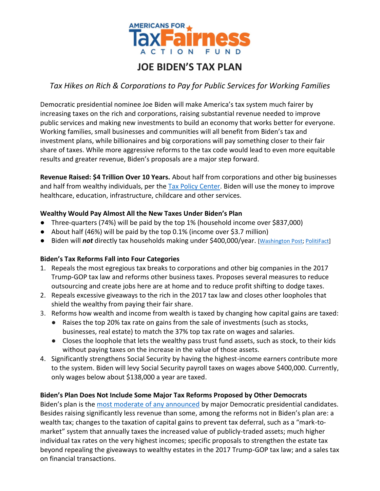

# **JOE BIDEN'S TAX PLAN**

# *Tax Hikes on Rich & Corporations to Pay for Public Services for Working Families*

Democratic presidential nominee Joe Biden will make America's tax system much fairer by increasing taxes on the rich and corporations, raising substantial revenue needed to improve public services and making new investments to build an economy that works better for everyone. Working families, small businesses and communities will all benefit from Biden's tax and investment plans, while billionaires and big corporations will pay something closer to their fair share of taxes. While more aggressive reforms to the tax code would lead to even more equitable results and greater revenue, Biden's proposals are a major step forward.

**Revenue Raised: \$4 Trillion Over 10 Years.** About half from corporations and other big businesses and half from wealthy individuals, per the [Tax Policy Center.](https://www.taxpolicycenter.org/sites/default/files/publication/158624/An_Analysis_of_Former_Vice_President_Bidens_Tax_Proposals_1_2.pdf) Biden will use the money to improve healthcare, education, infrastructure, childcare and other services.

#### **Wealthy Would Pay Almost All the New Taxes Under Biden's Plan**

- Three-quarters (74%) will be paid by the top 1% (household income over \$837,000)
- About half (46%) will be paid by the top 0.1% (income over \$3.7 million)
- Biden will *not* directly tax households making under \$400,000/year. [\[Washington Post;](https://www.washingtonpost.com/politics/2020/08/31/joe-bidens-claim-that-he-wont-raise-taxes-people-making-less-than-400000/?&fbclid=IwAR2GcOxd7ccFjN5GHxPHZDTXjbJ8GN5psZBj_vWdV8-8RGaWnvV3k3oIhsI) [PolitiFact\]](https://www.politifact.com/factchecks/2020/aug/25/nikki-haley/do-joe-biden-and-kamala-harris-want-massive-tax-hi/)

## **Biden's Tax Reforms Fall into Four Categories**

- 1. Repeals the most egregious tax breaks to corporations and other big companies in the 2017 Trump-GOP tax law and reforms other business taxes. Proposes several measures to reduce outsourcing and create jobs here are at home and to reduce profit shifting to dodge taxes.
- 2. Repeals excessive giveaways to the rich in the 2017 tax law and closes other loopholes that shield the wealthy from paying their fair share.
- 3. Reforms how wealth and income from wealth is taxed by changing how capital gains are taxed:
	- Raises the top 20% tax rate on gains from the sale of investments (such as stocks, businesses, real estate) to match the 37% top tax rate on wages and salaries.
	- Closes the loophole that lets the wealthy pass trust fund assets, such as stock, to their kids without paying taxes on the increase in the value of those assets.
- 4. Significantly strengthens Social Security by having the highest-income earners contribute more to the system. Biden will levy Social Security payroll taxes on wages above \$400,000. Currently, only wages below about \$138,000 a year are taxed.

## **Biden's Plan Does Not Include Some Major Tax Reforms Proposed by Other Democrats**

Biden's plan is the [most moderate of any announced](https://americansfortaxfairness.org/issue/top-5-presidential-candidates-tax-investment-plans-6-1-20/) by major Democratic presidential candidates. Besides raising significantly less revenue than some, among the reforms not in Biden's plan are: a wealth tax; changes to the taxation of capital gains to prevent tax deferral, such as a "mark-tomarket" system that annually taxes the increased value of publicly-traded assets; much higher individual tax rates on the very highest incomes; specific proposals to strengthen the estate tax beyond repealing the giveaways to wealthy estates in the 2017 Trump-GOP tax law; and a sales tax on financial transactions.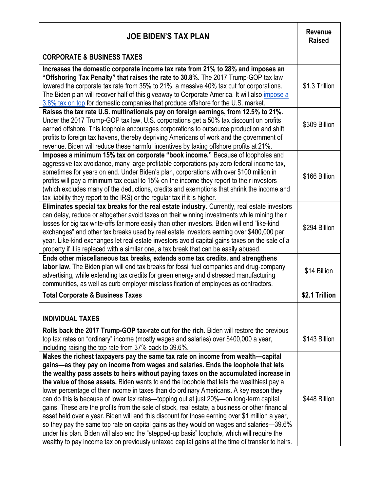| <b>JOE BIDEN'S TAX PLAN</b>                                                                                                                                                                                                                                                                                                                                                                                                                                                                                                                                                                                                                                                                                                                                                                                                                                                                                                                                                                                                                       | <b>Revenue</b><br><b>Raised</b> |
|---------------------------------------------------------------------------------------------------------------------------------------------------------------------------------------------------------------------------------------------------------------------------------------------------------------------------------------------------------------------------------------------------------------------------------------------------------------------------------------------------------------------------------------------------------------------------------------------------------------------------------------------------------------------------------------------------------------------------------------------------------------------------------------------------------------------------------------------------------------------------------------------------------------------------------------------------------------------------------------------------------------------------------------------------|---------------------------------|
| <b>CORPORATE &amp; BUSINESS TAXES</b>                                                                                                                                                                                                                                                                                                                                                                                                                                                                                                                                                                                                                                                                                                                                                                                                                                                                                                                                                                                                             |                                 |
| Increases the domestic corporate income tax rate from 21% to 28% and imposes an<br>"Offshoring Tax Penalty" that raises the rate to 30.8%. The 2017 Trump-GOP tax law<br>lowered the corporate tax rate from 35% to 21%, a massive 40% tax cut for corporations.<br>The Biden plan will recover half of this giveaway to Corporate America. It will also <i>impose a</i><br>3.8% tax on top for domestic companies that produce offshore for the U.S. market.                                                                                                                                                                                                                                                                                                                                                                                                                                                                                                                                                                                     | \$1.3 Trillion                  |
| Raises the tax rate U.S. multinationals pay on foreign earnings, from 12.5% to 21%.<br>Under the 2017 Trump-GOP tax law, U.S. corporations get a 50% tax discount on profits<br>earned offshore. This loophole encourages corporations to outsource production and shift<br>profits to foreign tax havens, thereby depriving Americans of work and the government of<br>revenue. Biden will reduce these harmful incentives by taxing offshore profits at 21%.                                                                                                                                                                                                                                                                                                                                                                                                                                                                                                                                                                                    | \$309 Billion                   |
| Imposes a minimum 15% tax on corporate "book income." Because of loopholes and<br>aggressive tax avoidance, many large profitable corporations pay zero federal income tax,<br>sometimes for years on end. Under Biden's plan, corporations with over \$100 million in<br>profits will pay a minimum tax equal to 15% on the income they report to their investors<br>(which excludes many of the deductions, credits and exemptions that shrink the income and<br>tax liability they report to the IRS) or the regular tax if it is higher.                                                                                                                                                                                                                                                                                                                                                                                                                                                                                                      | \$166 Billion                   |
| Eliminates special tax breaks for the real estate industry. Currently, real estate investors<br>can delay, reduce or altogether avoid taxes on their winning investments while mining their<br>losses for big tax write-offs far more easily than other investors. Biden will end "like-kind<br>exchanges" and other tax breaks used by real estate investors earning over \$400,000 per<br>year. Like-kind exchanges let real estate investors avoid capital gains taxes on the sale of a<br>property if it is replaced with a similar one, a tax break that can be easily abused.                                                                                                                                                                                                                                                                                                                                                                                                                                                               | \$294 Billion                   |
| Ends other miscellaneous tax breaks, extends some tax credits, and strengthens<br>labor law. The Biden plan will end tax breaks for fossil fuel companies and drug-company<br>advertising, while extending tax credits for green energy and distressed manufacturing<br>communities, as well as curb employer misclassification of employees as contractors.                                                                                                                                                                                                                                                                                                                                                                                                                                                                                                                                                                                                                                                                                      | \$14 Billion                    |
| <b>Total Corporate &amp; Business Taxes</b>                                                                                                                                                                                                                                                                                                                                                                                                                                                                                                                                                                                                                                                                                                                                                                                                                                                                                                                                                                                                       | \$2.1 Trillion                  |
| <b>INDIVIDUAL TAXES</b>                                                                                                                                                                                                                                                                                                                                                                                                                                                                                                                                                                                                                                                                                                                                                                                                                                                                                                                                                                                                                           |                                 |
| Rolls back the 2017 Trump-GOP tax-rate cut for the rich. Biden will restore the previous<br>top tax rates on "ordinary" income (mostly wages and salaries) over \$400,000 a year,<br>including raising the top rate from 37% back to 39.6%.                                                                                                                                                                                                                                                                                                                                                                                                                                                                                                                                                                                                                                                                                                                                                                                                       | \$143 Billion                   |
| Makes the richest taxpayers pay the same tax rate on income from wealth—capital<br>gains—as they pay on income from wages and salaries. Ends the loophole that lets<br>the wealthy pass assets to heirs without paying taxes on the accumulated increase in<br>the value of those assets. Biden wants to end the loophole that lets the wealthiest pay a<br>lower percentage of their income in taxes than do ordinary Americans. A key reason they<br>can do this is because of lower tax rates—topping out at just 20%—on long-term capital<br>gains. These are the profits from the sale of stock, real estate, a business or other financial<br>asset held over a year. Biden will end this discount for those earning over \$1 million a year,<br>so they pay the same top rate on capital gains as they would on wages and salaries-39.6%<br>under his plan. Biden will also end the "stepped-up basis" loophole, which will require the<br>wealthy to pay income tax on previously untaxed capital gains at the time of transfer to heirs. | \$448 Billion                   |